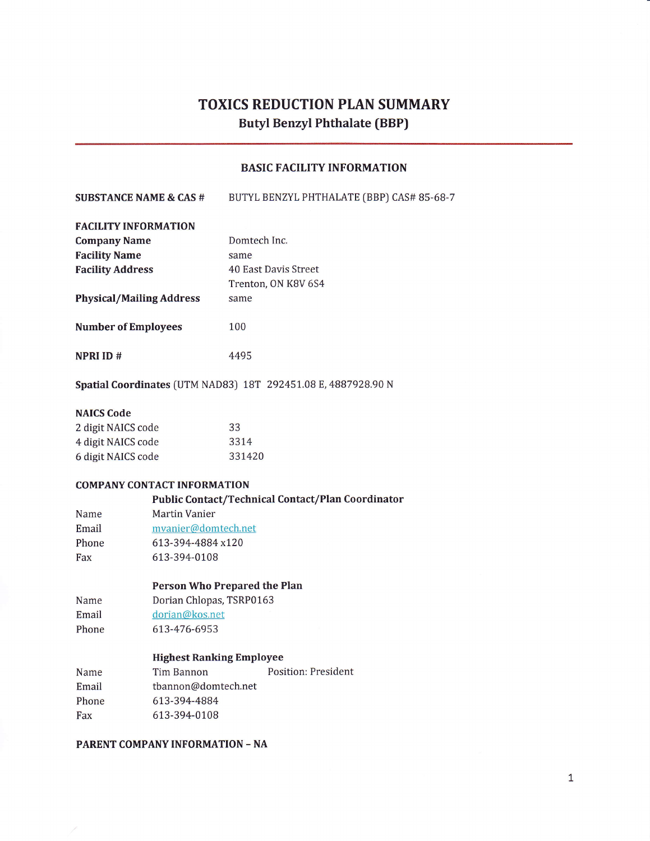# TOXICS REDUCTION PIAN SUMMARY Butyl Benzyl Phthalate (BBP)

## BASIC FACILITY INFORMATION

| <b>SUBSTANCE NAME &amp; CAS #</b>                                                                                                                                                                                                    | BUTYL BENZYL PHTHALATE (BBP) CAS# 85-68-7 |
|--------------------------------------------------------------------------------------------------------------------------------------------------------------------------------------------------------------------------------------|-------------------------------------------|
| <b>FACILITY INFORMATION</b>                                                                                                                                                                                                          |                                           |
| <b>The comment of the comment of the comment of the comment of the comment of the comment of the comment of the comment of the comment of the comment of the comment of the comment of the comment of the comment of the comment</b> | <b>DESCRIPTION OF A REAL PROPERTY</b>     |

| <b>Company Name</b>             | Domtech Inc.         |
|---------------------------------|----------------------|
| <b>Facility Name</b>            | same                 |
| <b>Facility Address</b>         | 40 East Davis Street |
|                                 | Trenton, ON K8V 6S4  |
| <b>Physical/Mailing Address</b> | same                 |
| <b>Number of Employees</b>      | 100                  |

NPRI ID #

Spatial Coordinates (UTM NAD83) 18T 292451.08 E, 4887928.90 N

4495

#### NAICS Code

| 2 digit NAICS code | 33     |
|--------------------|--------|
| 4 digit NAICS code | 3314   |
| 6 digit NAICS code | 331420 |

#### COMPANY CONTACT INFORMATION

#### Public Contact/Technical Contact/Plan Coordinator

Name Martin Vanier

Email Phone Fax mvanier@domtech.net 613-394-4884 x120 613-394-0108

#### Person Who Prepared the Plan

Name Dorian Chlopas, TSRP0163

Email dorian@kos.net

Phone 613-476-6953

#### Highest Ranking Employee

| Name  | Tim Bannon          | Position: President |
|-------|---------------------|---------------------|
| Email | tbannon@domtech.net |                     |
| Phone | 613-394-4884        |                     |
| Fax   | 613-394-0108        |                     |
|       |                     |                     |

PARENT COMPANYINFORMATION - NA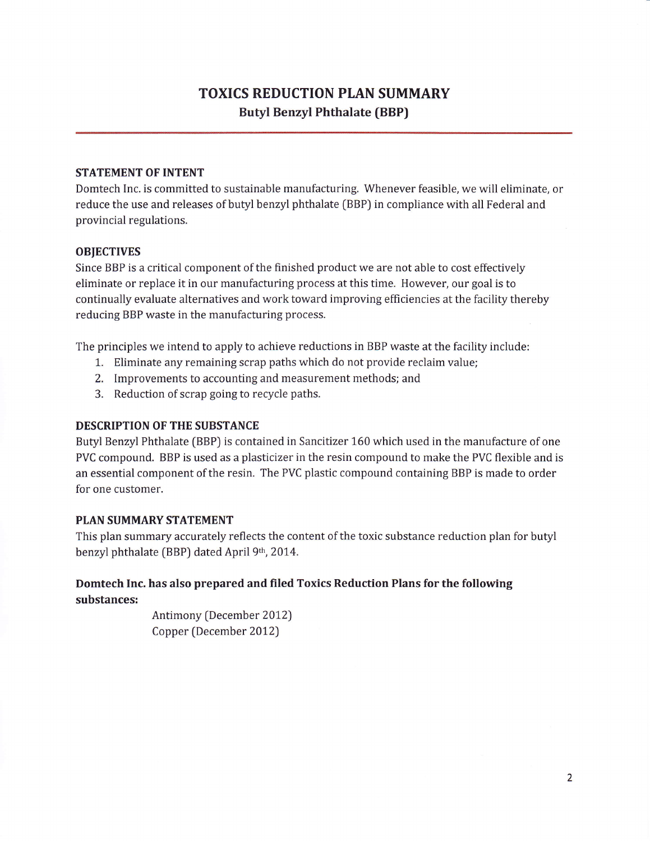## TOXICS REDUCTION PLAN SUMMARY Butyl Benzyl Phthalate (BBP)

## STATEMENT OF INTENT

Domtech Inc. is committed to sustainable manufacturing. Whenever feasible, we will eliminate, or reduce the use and releases of butyl benzyl phthalate [BBP) in compliance with all Federal and provincial regulations.

## **OBJECTIVES**

Since BBP is a critical component of the finished product we are not able to cost effectively eliminate or replace it in our manufacturing process at this time, However, our goal is to continually evaluate alternatives and work toward improving efficiencies at the facility thereby reducing BBP waste in the manufacturing process.

The principles we intend to apply to achieve reductions in BBP waste at the facility include:

- 1, Eliminate any remaining scrap paths which do not provide reclaim value;
- 2. Improvements to accounting and measurement methods; and
- 3. Reduction of scrap going to recycle paths.

## DESCRIPTION OF THE SUBSTANCE

Butyl Benzyl Phthalate (BBP) is contained in Sancitizer 160 which used in the manufacture of one PVC compound. BBP is used as a plasticizer in the resin compound to make the PVC flexible and is an essential component of the resin. The PVC plastic compound containing BBP is made to order for one customer.

## PLAN SUMMARY STATEMENT

This plan summary accurately reflects the content of the toxic substance reduction plan for butyl benzyl phthalate (BBP) dated April 9th, 2014.

## Domtech Inc. has also prepared and filed Toxics Reduction Plans for the following substances:

Antimony (December 2012) Copper (December 2012)